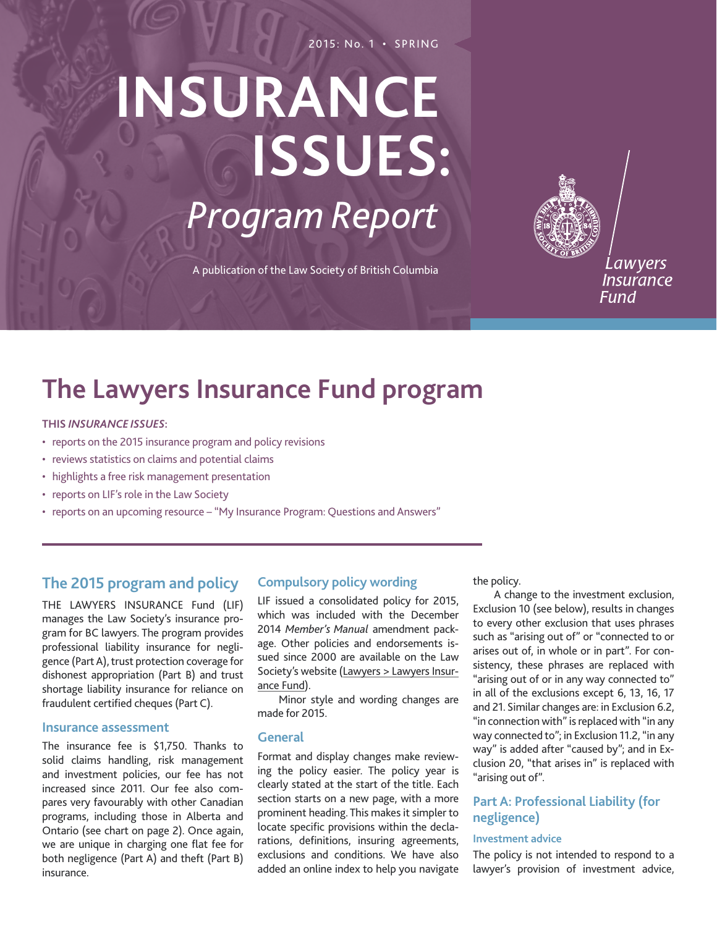#### 2015: No. 1 • SPRING

# **Insurance issues:** *Program Report*

A publication of the Law Society of British Columbia

Lawyers **Insurance** Fund

## **The Lawyers Insurance Fund program**

#### **This** *Insurance Issues***:**

- reports on the 2015 insurance program and policy revisions
- reviews statistics on claims and potential claims
- highlights a free risk management presentation
- reports on LIF's role in the Law Society
- reports on an upcoming resource "My Insurance Program: Questions and Answers"

## **The 2015 program and policy**

The Lawyers Insurance Fund (LIF) manages the Law Society's insurance program for BC lawyers. The program provides professional liability insurance for negligence (Part A), trust protection coverage for dishonest appropriation (Part B) and trust shortage liability insurance for reliance on fraudulent certified cheques (Part C).

#### **Insurance assessment**

The insurance fee is \$1,750. Thanks to solid claims handling, risk management and investment policies, our fee has not increased since 2011. Our fee also compares very favourably with other Canadian programs, including those in Alberta and Ontario (see chart on page 2). Once again, we are unique in charging one flat fee for both negligence (Part A) and theft (Part B) insurance.

#### **Compulsory policy wording**

LIF issued a consolidated policy for 2015, which was included with the December 2014 *Member's Manual* amendment package. Other policies and endorsements issued since 2000 are available on the Law Society's website ([Lawyers > Lawyers Insur](http://www.lawsociety.bc.ca/page.cfm?cid=761&t=Policies-and-endorsements-(2000-to-date))[ance Fund](http://www.lawsociety.bc.ca/page.cfm?cid=761&t=Policies-and-endorsements-(2000-to-date))).

Minor style and wording changes are made for 2015.

#### **General**

Format and display changes make reviewing the policy easier. The policy year is clearly stated at the start of the title. Each section starts on a new page, with a more prominent heading. This makes it simpler to locate specific provisions within the declarations, definitions, insuring agreements, exclusions and conditions. We have also added an online index to help you navigate the policy.

A change to the investment exclusion, Exclusion 10 (see below), results in changes to every other exclusion that uses phrases such as "arising out of" or "connected to or arises out of, in whole or in part". For consistency, these phrases are replaced with "arising out of or in any way connected to" in all of the exclusions except 6, 13, 16, 17 and 21. Similar changes are: in Exclusion 6.2, "in connection with" is replaced with "in any way connected to"; in Exclusion 11.2, "in any way" is added after "caused by"; and in Exclusion 20, "that arises in" is replaced with "arising out of".

#### **Part A: Professional Liability (for negligence)**

#### **Investment advice**

The policy is not intended to respond to a lawyer's provision of investment advice,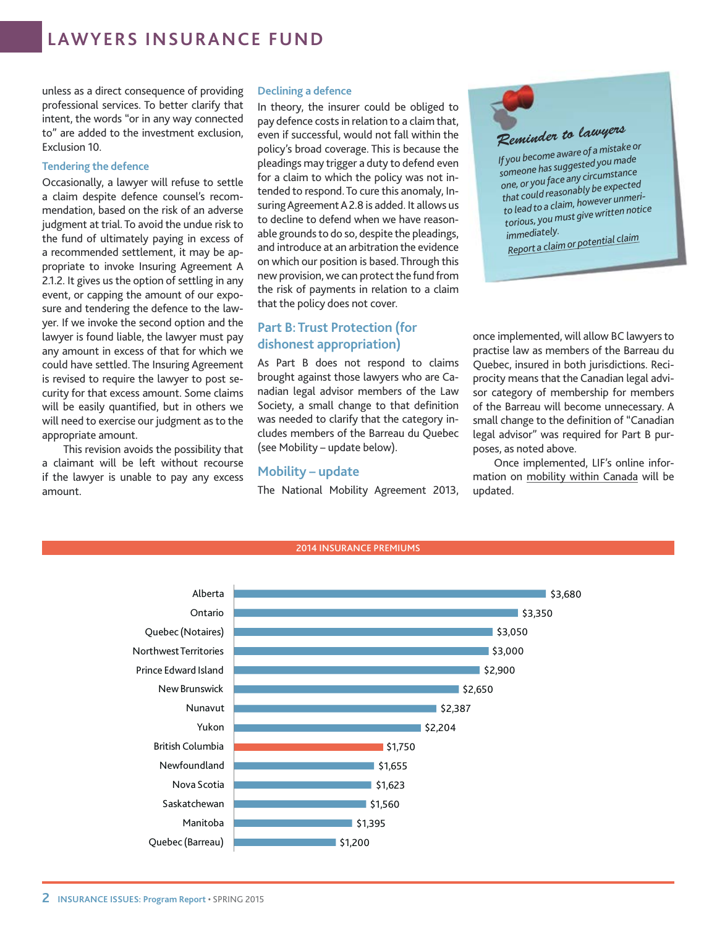## **lawyers insurance fund**

unless as a direct consequence of providing professional services. To better clarify that intent, the words "or in any way connected to" are added to the investment exclusion, Exclusion 10.

#### **Tendering the defence**

Occasionally, a lawyer will refuse to settle a claim despite defence counsel's recommendation, based on the risk of an adverse judgment at trial. To avoid the undue risk to the fund of ultimately paying in excess of a recommended settlement, it may be appropriate to invoke Insuring Agreement A 2.1.2. It gives us the option of settling in any event, or capping the amount of our exposure and tendering the defence to the lawyer. If we invoke the second option and the lawyer is found liable, the lawyer must pay any amount in excess of that for which we could have settled. The Insuring Agreement is revised to require the lawyer to post security for that excess amount. Some claims will be easily quantified, but in others we will need to exercise our judgment as to the appropriate amount.

This revision avoids the possibility that a claimant will be left without recourse if the lawyer is unable to pay any excess amount.

#### **Declining a defence**

In theory, the insurer could be obliged to pay defence costs in relation to a claim that, even if successful, would not fall within the policy's broad coverage. This is because the pleadings may trigger a duty to defend even for a claim to which the policy was not intended to respond. To cure this anomaly, Insuring Agreement A2.8 is added. It allows us to decline to defend when we have reasonable grounds to do so, despite the pleadings, and introduce at an arbitration the evidence on which our position is based. Through this new provision, we can protect the fund from the risk of payments in relation to a claim that the policy does not cover.

## **Part B: Trust Protection (for dishonest appropriation)**

As Part B does not respond to claims brought against those lawyers who are Canadian legal advisor members of the Law Society, a small change to that definition was needed to clarify that the category includes members of the Barreau du Quebec (see Mobility – update below).

#### **Mobility – update**

The National Mobility Agreement 2013,

2014 INSURANCE PREMIUMS

*Reminder to lawyers If you become aware of a mistake or someone has suggested you made one, or you face any circumstance that could reasonably be expected to lead to a claim, however unmeritorious, you must give written notice immediately. [Report a claim or po](http://www.lawsociety.bc.ca/page.cfm?cid=202&t=Reporting-a-claim)tential claim*

once implemented, will allow BC lawyers to practise law as members of the Barreau du Quebec, insured in both jurisdictions. Reciprocity means that the Canadian legal advisor category of membership for members of the Barreau will become unnecessary. A small change to the definition of "Canadian legal advisor" was required for Part B purposes, as noted above.

Once implemented, LIF's online information on [mobility within Canada](http://www.lawsociety.bc.ca/page.cfm?cid=215&t=Mobility-within-Canada) will be updated.

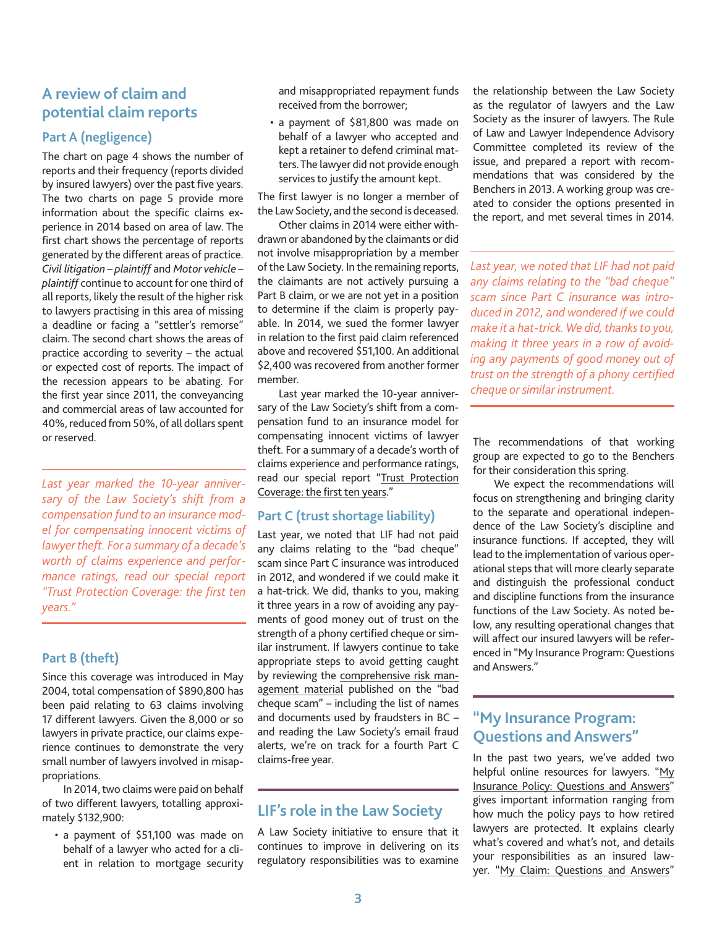## **A review of claim and potential claim reports**

## **Part A (negligence)**

The chart on page 4 shows the number of reports and their frequency (reports divided by insured lawyers) over the past five years. The two charts on page 5 provide more information about the specific claims experience in 2014 based on area of law. The first chart shows the percentage of reports generated by the different areas of practice. *Civil litigation – plaintiff* and *Motor vehicle – plaintiff* continue to account for one third of all reports, likely the result of the higher risk to lawyers practising in this area of missing a deadline or facing a "settler's remorse" claim. The second chart shows the areas of practice according to severity – the actual or expected cost of reports. The impact of the recession appears to be abating. For the first year since 2011, the conveyancing and commercial areas of law accounted for 40%, reduced from 50%, of all dollars spent or reserved.

*Last year marked the 10-year anniversary of the Law Society's shift from a compensation fund to an insurance model for compensating innocent victims of lawyer theft. For a summary of a decade's worth of claims experience and performance ratings, read our special report ["Trust Protection Coverage: the first ten](http://www.lawsociety.bc.ca/docs/publications/insurance/LIF-TPC-report.pdf) [years](http://www.lawsociety.bc.ca/docs/publications/insurance/LIF-TPC-report.pdf)."*

## **Part B (theft)**

Since this coverage was introduced in May 2004, total compensation of \$890,800 has been paid relating to 63 claims involving 17 different lawyers. Given the 8,000 or so lawyers in private practice, our claims experience continues to demonstrate the very small number of lawyers involved in misappropriations.

In 2014, two claims were paid on behalf of two different lawyers, totalling approximately \$132,900:

• a payment of \$51,100 was made on behalf of a lawyer who acted for a client in relation to mortgage security and misappropriated repayment funds received from the borrower;

• a payment of \$81,800 was made on behalf of a lawyer who accepted and kept a retainer to defend criminal matters. The lawyer did not provide enough services to justify the amount kept.

The first lawyer is no longer a member of the Law Society, and the second is deceased.

Other claims in 2014 were either withdrawn or abandoned by the claimants or did not involve misappropriation by a member of the Law Society. In the remaining reports, the claimants are not actively pursuing a Part B claim, or we are not yet in a position to determine if the claim is properly payable. In 2014, we sued the former lawyer in relation to the first paid claim referenced above and recovered \$51,100. An additional \$2,400 was recovered from another former member.

Last year marked the 10-year anniversary of the Law Society's shift from a compensation fund to an insurance model for compensating innocent victims of lawyer theft. For a summary of a decade's worth of claims experience and performance ratings, read our special report ["Trust Protection](http://www.lawsociety.bc.ca/docs/publications/insurance/LIF-TPC-report.pdf) [Coverage: the first ten years](http://www.lawsociety.bc.ca/docs/publications/insurance/LIF-TPC-report.pdf)."

## **Part C (trust shortage liability)**

Last year, we noted that LIF had not paid any claims relating to the "bad cheque" scam since Part C insurance was introduced in 2012, and wondered if we could make it a hat-trick. We did, thanks to you, making it three years in a row of avoiding any payments of good money out of trust on the strength of a phony certified cheque or similar instrument. If lawyers continue to take appropriate steps to avoid getting caught by reviewing the [comprehensive risk man](http://www.lawsociety.bc.ca/page.cfm?cid=2400&t=Bad-cheque-scam)[agement material](http://www.lawsociety.bc.ca/page.cfm?cid=2400&t=Bad-cheque-scam) published on the "bad cheque scam" – including the list of names and documents used by fraudsters in BC – and reading the Law Society's email fraud alerts, we're on track for a fourth Part C claims-free year.

## **LIF's role in the Law Society**

A Law Society initiative to ensure that it continues to improve in delivering on its regulatory responsibilities was to examine the relationship between the Law Society as the regulator of lawyers and the Law Society as the insurer of lawyers. The Rule of Law and Lawyer Independence Advisory Committee completed its review of the issue, and prepared a report with recommendations that was considered by the Benchers in 2013. A working group was created to consider the options presented in the report, and met several times in 2014.

*Last year, we noted that LIF had not paid any claims relating to the "bad cheque" scam since Part C insurance was introduced in 2012, and wondered if we could make it a hat-trick. We did, thanks to you, making it three years in a row of avoiding any payments of good money out of trust on the strength of a phony certified cheque or similar instrument.*

The recommendations of that working group are expected to go to the Benchers for their consideration this spring.

We expect the recommendations will focus on strengthening and bringing clarity to the separate and operational independence of the Law Society's discipline and insurance functions. If accepted, they will lead to the implementation of various operational steps that will more clearly separate and distinguish the professional conduct and discipline functions from the insurance functions of the Law Society. As noted below, any resulting operational changes that will affect our insured lawyers will be referenced in "My Insurance Program: Questions and Answers."

## **"My Insurance Program: Questions and Answers"**

In the past two years, we've added two helpful online resources for lawyers. "My [Insurance Policy: Questions and Answers](http://www.lawsociety.bc.ca/page.cfm?cid=2737&t=My-Insurance-Policy:-Questions-and-answers)" gives important information ranging from how much the policy pays to how retired lawyers are protected. It explains clearly what's covered and what's not, and details your responsibilities as an insured lawyer. ["My Claim: Questions and Answers](http://www.lawsociety.bc.ca/page.cfm?cid=3879&t=My-Claim:-Questions-and-answers)"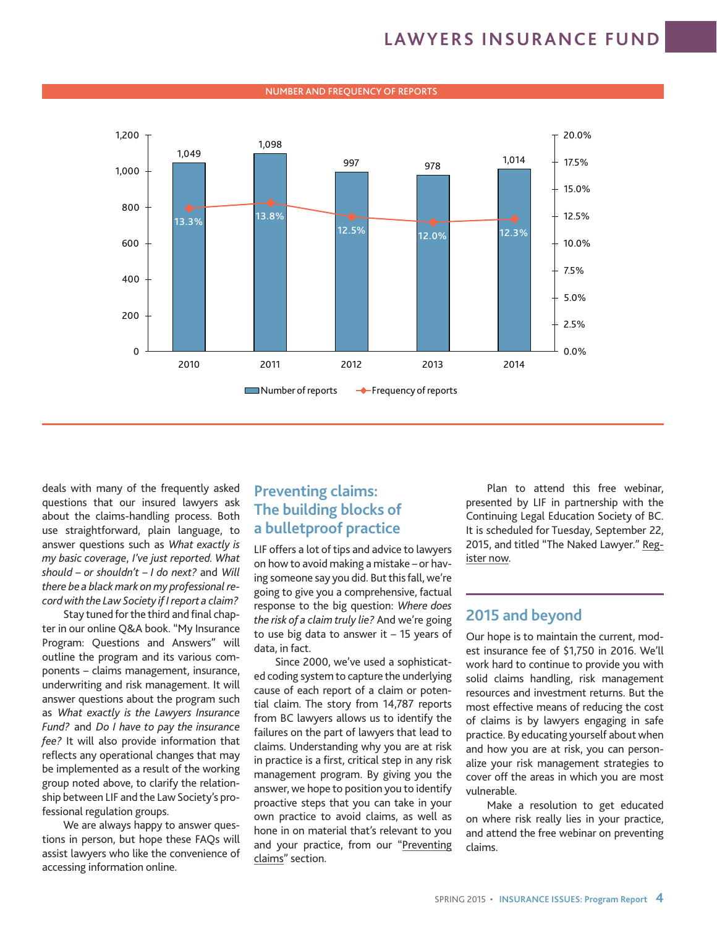## **lawyers insurance fund**



#### NUMBER AND FREQUENCY OF REPORTS

deals with many of the frequently asked questions that our insured lawyers ask about the claims-handling process. Both use straightforward, plain language, to answer questions such as *What exactly is my basic coverage*, *I've just reported. What should – or shouldn't – I do next?* and *Will there be a black mark on my professional record with the Law Society if I report a claim?* 

Stay tuned for the third and final chapter in our online Q&A book. "My Insurance Program: Questions and Answers" will outline the program and its various components – claims management, insurance, underwriting and risk management. It will answer questions about the program such as *What exactly is the Lawyers Insurance Fund?* and *Do I have to pay the insurance fee?* It will also provide information that reflects any operational changes that may be implemented as a result of the working group noted above, to clarify the relationship between LIF and the Law Society's professional regulation groups.

We are always happy to answer questions in person, but hope these FAQs will assist lawyers who like the convenience of accessing information online.

## **Preventing claims: The building blocks of a bulletproof practice**

LIF offers a lot of tips and advice to lawyers on how to avoid making a mistake – or having someone say you did. But this fall, we're going to give you a comprehensive, factual response to the big question: *Where does the risk of a claim truly lie?* And we're going to use big data to answer it  $-15$  years of data, in fact.

Since 2000, we've used a sophisticated coding system to capture the underlying cause of each report of a claim or potential claim. The story from 14,787 reports from BC lawyers allows us to identify the failures on the part of lawyers that lead to claims. Understanding why you are at risk in practice is a first, critical step in any risk management program. By giving you the answer, we hope to position you to identify proactive steps that you can take in your own practice to avoid claims, as well as hone in on material that's relevant to you and your practice, from our "[Preventing](http://www.lawsociety.bc.ca/page.cfm?cid=3822&t=Preventing-Claims)  [claims](http://www.lawsociety.bc.ca/page.cfm?cid=3822&t=Preventing-Claims)" section.

Plan to attend this free webinar, presented by LIF in partnership with the Continuing Legal Education Society of BC. It is scheduled for Tuesday, September 22, 2015, and titled "The Naked Lawyer." [Reg](http://www.cle.bc.ca/onlinestore/productdetails.aspx?cid=1164)[ister now](http://www.cle.bc.ca/onlinestore/productdetails.aspx?cid=1164).

## **2015 and beyond**

Our hope is to maintain the current, modest insurance fee of \$1,750 in 2016. We'll work hard to continue to provide you with solid claims handling, risk management resources and investment returns. But the most effective means of reducing the cost of claims is by lawyers engaging in safe practice. By educating yourself about when and how you are at risk, you can personalize your risk management strategies to cover off the areas in which you are most vulnerable.

Make a resolution to get educated on where risk really lies in your practice, and attend the free webinar on preventing claims.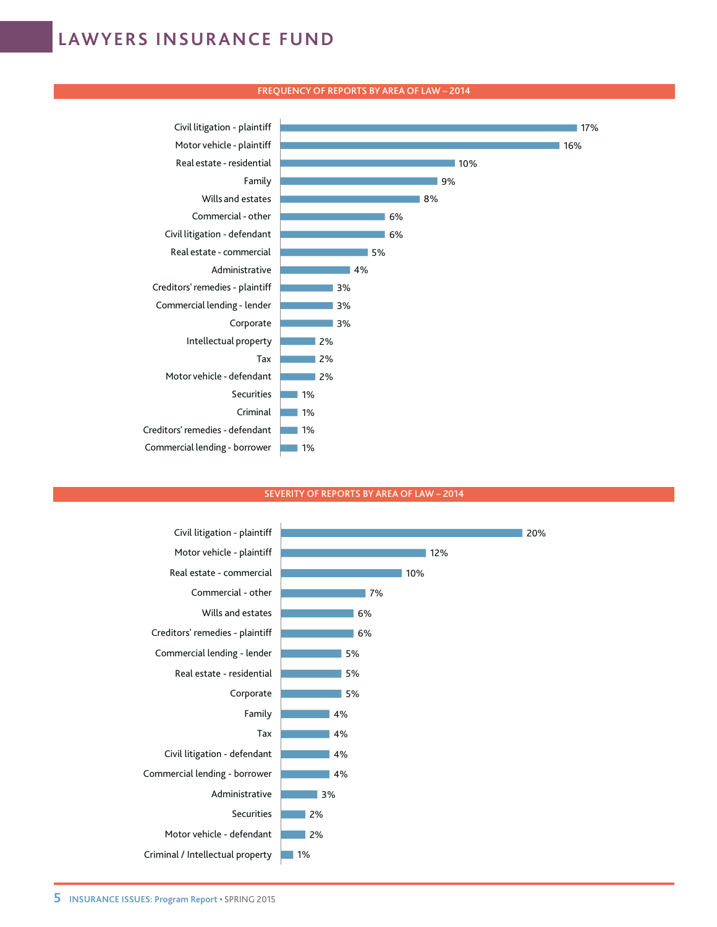## **lawyers insurance fund**

#### FREQUENCY OF REPORTS BY AREA OF LAW – 2014



#### SEVERITY OF REPORTS BY AREA OF LAW – 2014